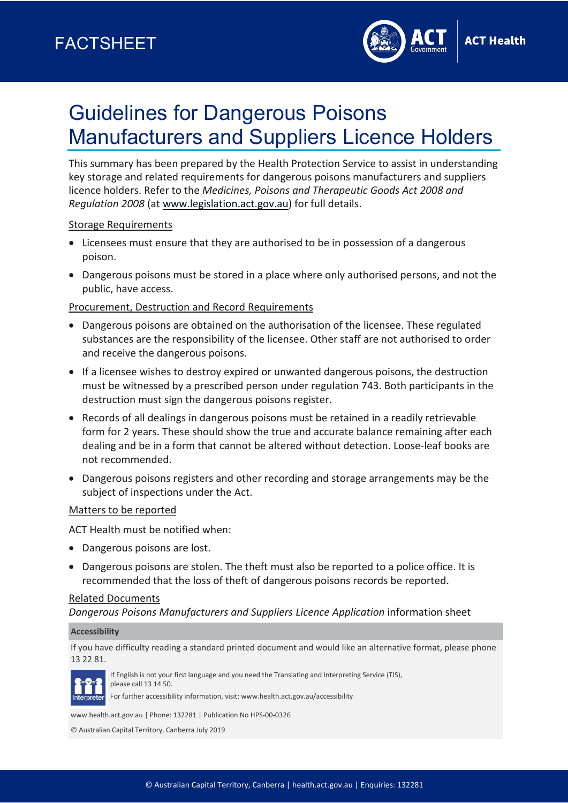

# Guidelines for Dangerous Poisons Manufacturers and Suppliers Licence Holders

This summary has been prepared by the Health Protection Service to assist in understanding key storage and related requirements for dangerous poisons manufacturers and suppliers licence holders. Refer to the *Medicines, Poisons and Therapeutic Goods Act 2008 and Regulation 2008* (at [www.legislation.act.gov.au\)](http://www.legislation.act.gov.au/) for full details.

## Storage Requirements

- Licensees must ensure that they are authorised to be in possession of a dangerous poison.
- Dangerous poisons must be stored in a place where only authorised persons, and not the public, have access.

## Procurement, Destruction and Record Requirements

- Dangerous poisons are obtained on the authorisation of the licensee. These regulated substances are the responsibility of the licensee. Other staff are not authorised to order and receive the dangerous poisons.
- If a licensee wishes to destroy expired or unwanted dangerous poisons, the destruction must be witnessed by a prescribed person under regulation 743. Both participants in the destruction must sign the dangerous poisons register.
- Records of all dealings in dangerous poisons must be retained in a readily retrievable form for 2 years. These should show the true and accurate balance remaining after each dealing and be in a form that cannot be altered without detection. Loose-leaf books are not recommended.
- Dangerous poisons registers and other recording and storage arrangements may be the subject of inspections under the Act.

### Matters to be reported

ACT Health must be notified when:

- Dangerous poisons are lost.
- Dangerous poisons are stolen. The theft must also be reported to a police office. It is recommended that the loss of theft of dangerous poisons records be reported.

### Related Documents

*Dangerous Poisons Manufacturers and Suppliers Licence Application* information sheet

#### **Accessibility**

If you have difficulty reading a standard printed document and would like an alternative format, please phone 13 22 81.



If English is not your first language and you need the Translating and Interpreting Service (TIS), please call 13 14 50.

For further accessibility information, visit: www.health.act.gov.au/accessibility

www.health.act.gov.au | Phone: 132281 | Publication No HPS-00-0326

© Australian Capital Territory, Canberra July 2019